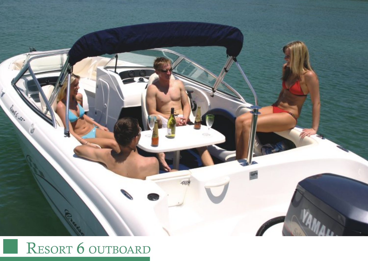

## RESORT 6 OUTBOARD